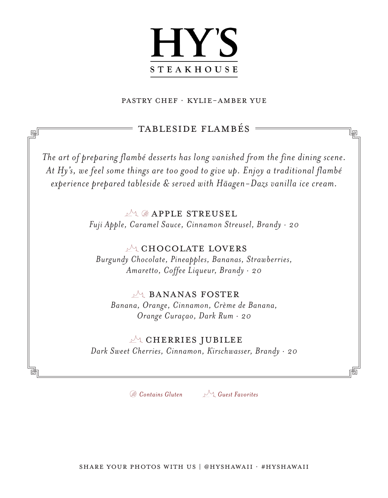## **HY'S STEAKHOUSE**

#### Pastry chef · Kylie-amber yue

### TABLESIDE FLAMBÉS

岠

唎

*The art of preparing flambé desserts has long vanished from the fine dining scene. At Hy's, we feel some things are too good to give up. Enjoy a traditional flambé experience prepared tableside & served with Häagen-Dazs vanilla ice cream.*

### $M$  **APPLE STREUSEL**

*Fuji Apple, Caramel Sauce, Cinnamon Streusel, Brandy · 20*

### $M_{1}$  CHOCOLATE LOVERS

*Burgundy Chocolate, Pineapples, Bananas, Strawberries, Amaretto, Coffee Liqueur, Brandy · 20*

### **ALL BANANAS FOSTER**

*Banana, Orange, Cinnamon, Crème de Banana, Orange Curaçao, Dark Rum · 20*

### $\mathbb{R}$  CHERRIES JUBILEE

*Dark Sweet Cherries, Cinnamon, Kirschwasser, Brandy · 20*

*Contains Gluten Guest Favorites*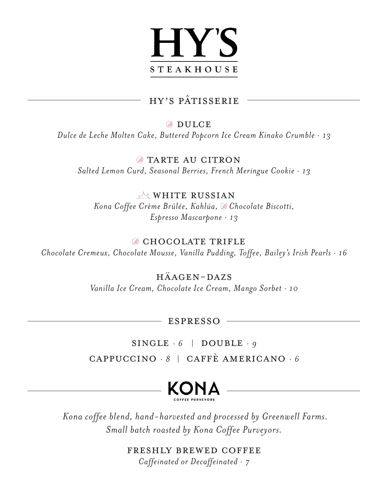

### HY'S PÂTISSERIE

**BULCE** *Dulce de Leche Molten Cake, Buttered Popcorn Ice Cream Kinako Crumble · 13*

> **EXTERCTE AU CITRON** *Salted Lemon Curd, Seasonal Berries, French Meringue Cookie · 13*

 $M$  WHITE RUSSIAN *Kona Coffee Crème Brûlée, Kahlúa, Chocolate Biscotti, Espresso Mascarpone · 13*

### **CHOCOLATE TRIFLE**

*Chocolate Cremeux, Chocolate Mousse, Vanilla Pudding, Toffee, Bailey's Irish Pearls · 16*

Häagen-Dazs

*Vanilla Ice Cream, Chocolate Ice Cream, Mango Sorbet · 10*

ESPRESSO

 $SINGLE \cdot 6$  | DOUBLE  $\cdot g$ Cappuccino *· 8* |Caffè Americano *· 6*



 *Kona coffee blend, hand-harvested and processed by Greenwell Farms. Small batch roasted by Kona Coffee Purveyors.*

> Freshly Brewed Coffee *Caffeinated or Decaffeinated · 7*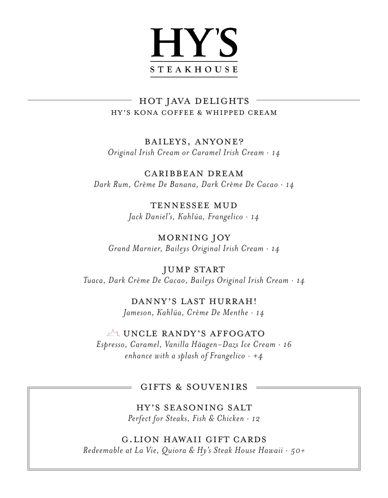### **HY'S STEAKHOUSE**

### HY'S KONA COFFEE & WHIPPED CREAM HOT JAVA DELIGHTS

Baileys, Anyone? *Original Irish Cream or Caramel Irish Cream · 14*

Caribbean Dream *Dark Rum, Crème De Banana, Dark Crème De Cacao · 14*

> Tennessee Mud *Jack Daniel's, Kahlúa, Frangelico · 14*

Morning Joy *Grand Marnier, Baileys Original Irish Cream · 14*

JUMP START *Tuaca, Dark Crème De Cacao, Baileys Original Irish Cream · 14*

> Danny's Last Hurrah! *Jameson, Kahlúa, Crème De Menthe · 14*

MUNCLE RANDY'S AFFOGATO *Espresso, Caramel, Vanilla Häagen-Dazs Ice Cream · 16 enhance with a splash of Frangelico · +4*

#### GIFTS & SOUVENIRS

HY's seasoning salt *Perfect for Steaks, Fish & Chicken · 12*

G.Lion Hawaii GIFT CARDS *Redeemable at La Vie, Quiora & Hy's Steak House Hawaii · 50+*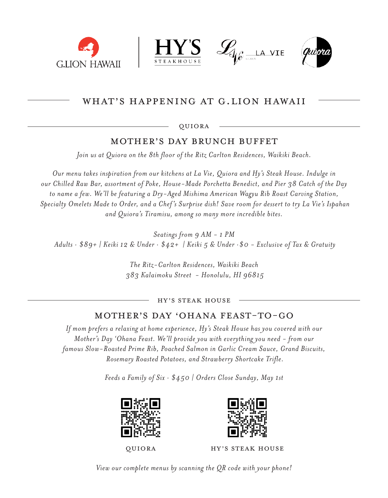







### WHAT'S HAPPENING AT G.LION HAWAII

QUIORA

#### Mother's day brunch buffet

*Join us at Quiora on the 8th floor of the Ritz Carlton Residences, Waikiki Beach.* 

*Our menu takes inspiration from our kitchens at La Vie, Quiora and Hy's Steak House. Indulge in our Chilled Raw Bar, assortment of Poke, House-Made Porchetta Benedict, and Pier 38 Catch of the Day to name a few. We'll be featuring a Dry-Aged Mishima American Wagyu Rib Roast Carving Station, Specialty Omelets Made to Order, and a Chef 's Surprise dish! Save room for dessert to try La Vie's Ispahan and Quiora's Tiramisu, among so many more incredible bites.* 

*Seatings from 9 AM - 1 PM Adults · \$89+ | Keiki 12 & Under · \$42+ | Keiki 5 & Under ·\$0 - Exclusive of Tax & Gratuity*

> *The Ritz-Carlton Residences, Waikiki Beach 383 Kalaimoku Street - Honolulu, HI 96815*

> > HY'S STEAK HOUSE

### Mother's day 'Ohana FEAST-To-GO

*If mom prefers a relaxing at home experience, Hy's Steak House has you covered with our Mother's Day 'Ohana Feast. We'll provide you with everything you need - from our famous Slow-Roasted Prime Rib, Poached Salmon in Garlic Cream Sauce, Grand Biscuits, Rosemary Roasted Potatoes, and Strawberry Shortcake Trifle.*

*Feeds a Family of Six · \$450 | Orders Close Sunday, May 1st*





QUIORA HY'S STEAK HOUSE

*View our complete menus by scanning the QR code with your phone!*